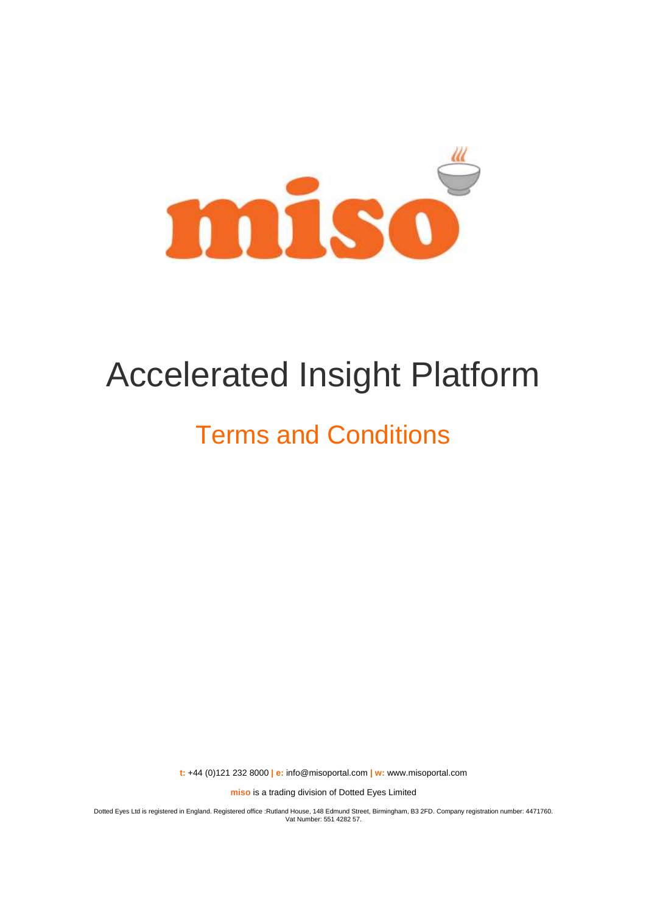

# Accelerated Insight Platform

# Terms and Conditions

**t:** +44 (0)121 232 8000 **| e:** [info@misoportal.com](mailto:info@misoportal.com) **| w:** [www.misoportal.com](http://www.misoportal.com/)

**miso** is a trading division of Dotted Eyes Limited

Dotted Eyes Ltd is registered in England. Registered office :Rutland House, 148 Edmund Street, Birmingham, B3 2FD. Company registration number: 4471760. Vat Number: 551 4282 57.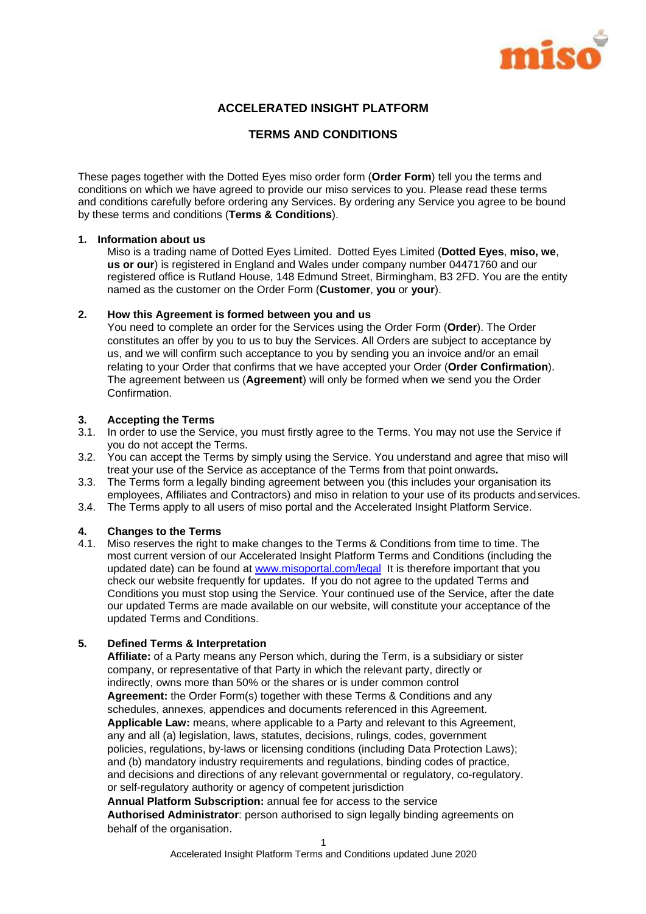

# **ACCELERATED INSIGHT PLATFORM**

#### **TERMS AND CONDITIONS**

These pages together with the Dotted Eyes miso order form (**Order Form**) tell you the terms and conditions on which we have agreed to provide our miso services to you. Please read these terms and conditions carefully before ordering any Services. By ordering any Service you agree to be bound by these terms and conditions (**Terms & Conditions**).

#### **1. Information about us**

Miso is a trading name of Dotted Eyes Limited. Dotted Eyes Limited (**Dotted Eyes**, **miso, we**, **us or our**) is registered in England and Wales under company number 04471760 and our registered office is Rutland House, 148 Edmund Street, Birmingham, B3 2FD. You are the entity named as the customer on the Order Form (**Customer**, **you** or **your**).

#### **2. How this Agreement is formed between you and us**

You need to complete an order for the Services using the Order Form (**Order**). The Order constitutes an offer by you to us to buy the Services. All Orders are subject to acceptance by us, and we will confirm such acceptance to you by sending you an invoice and/or an email relating to your Order that confirms that we have accepted your Order (**Order Confirmation**). The agreement between us (**Agreement**) will only be formed when we send you the Order Confirmation.

#### **3. Accepting the Terms**

- 3.1. In order to use the Service, you must firstly agree to the Terms. You may not use the Service if you do not accept the Terms.
- 3.2. You can accept the Terms by simply using the Service. You understand and agree that miso will treat your use of the Service as acceptance of the Terms from that point onwards**.**
- 3.3. The Terms form a legally binding agreement between you (this includes your organisation its employees, Affiliates and Contractors) and miso in relation to your use of its products and services.
- 3.4. The Terms apply to all users of miso portal and the Accelerated Insight Platform Service.

#### **4. Changes to the Terms**

4.1. Miso reserves the right to make changes to the Terms & Conditions from time to time. The most current version of our Accelerated Insight Platform Terms and Conditions (including the updated date) can be found at [www.misoportal.com/legal](http://www.misoportal.com/legal) It is therefore important that you check our website frequently for updates. If you do not agree to the updated Terms and Conditions you must stop using the Service. Your continued use of the Service, after the date our updated Terms are made available on our website, will constitute your acceptance of the updated Terms and Conditions.

#### **5. Defined Terms & Interpretation**

**Affiliate:** of a Party means any Person which, during the Term, is a subsidiary or sister company, or representative of that Party in which the relevant party, directly or indirectly, owns more than 50% or the shares or is under common control **Agreement:** the Order Form(s) together with these Terms & Conditions and any schedules, annexes, appendices and documents referenced in this Agreement. **Applicable Law:** means, where applicable to a Party and relevant to this Agreement, any and all (a) legislation, laws, statutes, decisions, rulings, codes, government policies, regulations, by-laws or licensing conditions (including Data Protection Laws); and (b) mandatory industry requirements and regulations, binding codes of practice, and decisions and directions of any relevant governmental or regulatory, co-regulatory. or self-regulatory authority or agency of competent jurisdiction **Annual Platform Subscription:** annual fee for access to the service

**Authorised Administrator**: person authorised to sign legally binding agreements on behalf of the organisation.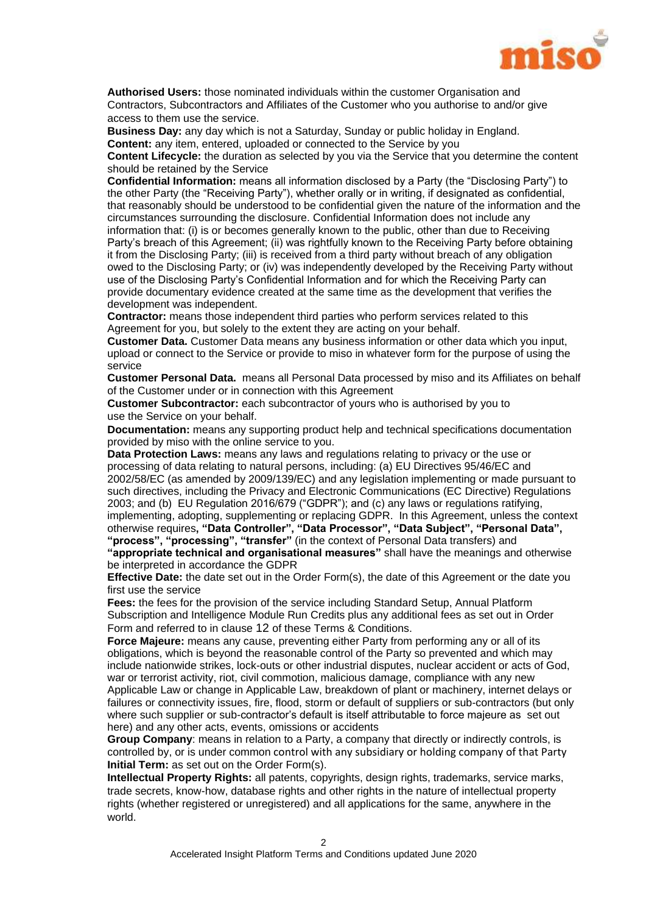

**Authorised Users:** those nominated individuals within the customer Organisation and Contractors, Subcontractors and Affiliates of the Customer who you authorise to and/or give access to them use the service.

**Business Day:** any day which is not a Saturday, Sunday or public holiday in England. **Content:** any item, entered, uploaded or connected to the Service by you

**Content Lifecycle:** the duration as selected by you via the Service that you determine the content should be retained by the Service

**Confidential Information:** means all information disclosed by a Party (the "Disclosing Party") to the other Party (the "Receiving Party"), whether orally or in writing, if designated as confidential, that reasonably should be understood to be confidential given the nature of the information and the circumstances surrounding the disclosure. Confidential Information does not include any information that: (i) is or becomes generally known to the public, other than due to Receiving Party's breach of this Agreement; (ii) was rightfully known to the Receiving Party before obtaining it from the Disclosing Party; (iii) is received from a third party without breach of any obligation owed to the Disclosing Party; or (iv) was independently developed by the Receiving Party without use of the Disclosing Party's Confidential Information and for which the Receiving Party can provide documentary evidence created at the same time as the development that verifies the development was independent.

**Contractor:** means those independent third parties who perform services related to this Agreement for you, but solely to the extent they are acting on your behalf.

**Customer Data.** Customer Data means any business information or other data which you input, upload or connect to the Service or provide to miso in whatever form for the purpose of using the service

**Customer Personal Data.** means all Personal Data processed by miso and its Affiliates on behalf of the Customer under or in connection with this Agreement

**Customer Subcontractor:** each subcontractor of yours who is authorised by you to use the Service on your behalf.

**Documentation:** means any supporting product help and technical specifications documentation provided by miso with the online service to you.

**Data Protection Laws:** means any laws and regulations relating to privacy or the use or processing of data relating to natural persons, including: (a) EU Directives 95/46/EC and 2002/58/EC (as amended by 2009/139/EC) and any legislation implementing or made pursuant to such directives, including the Privacy and Electronic Communications (EC Directive) Regulations 2003; and (b) EU Regulation 2016/679 ("GDPR"); and (c) any laws or regulations ratifying, implementing, adopting, supplementing or replacing GDPR. In this Agreement, unless the context otherwise requires**, "Data Controller", "Data Processor", "Data Subject", "Personal Data", "process", "processing", "transfer"** (in the context of Personal Data transfers) and **"appropriate technical and organisational measures"** shall have the meanings and otherwise

be interpreted in accordance the GDPR **Effective Date:** the date set out in the Order Form(s), the date of this Agreement or the date you

first use the service **Fees:** the fees for the provision of the service including Standard Setup, Annual Platform

Subscription and Intelligence Module Run Credits plus any additional fees as set out in Order Form and referred to in clause 12 of these Terms & Conditions.

**Force Majeure:** means any cause, preventing either Party from performing any or all of its obligations, which is beyond the reasonable control of the Party so prevented and which may include nationwide strikes, lock-outs or other industrial disputes, nuclear accident or acts of God, war or terrorist activity, riot, civil commotion, malicious damage, compliance with any new Applicable Law or change in Applicable Law, breakdown of plant or machinery, internet delays or failures or connectivity issues, fire, flood, storm or default of suppliers or sub-contractors (but only where such supplier or sub-contractor's default is itself attributable to force majeure as set out here) and any other acts, events, omissions or accidents

**Group Company**: means in relation to a Party, a company that directly or indirectly controls, is controlled by, or is under common control with any subsidiary or holding company of that Party **Initial Term:** as set out on the Order Form(s).

**Intellectual Property Rights:** all patents, copyrights, design rights, trademarks, service marks, trade secrets, know-how, database rights and other rights in the nature of intellectual property rights (whether registered or unregistered) and all applications for the same, anywhere in the world.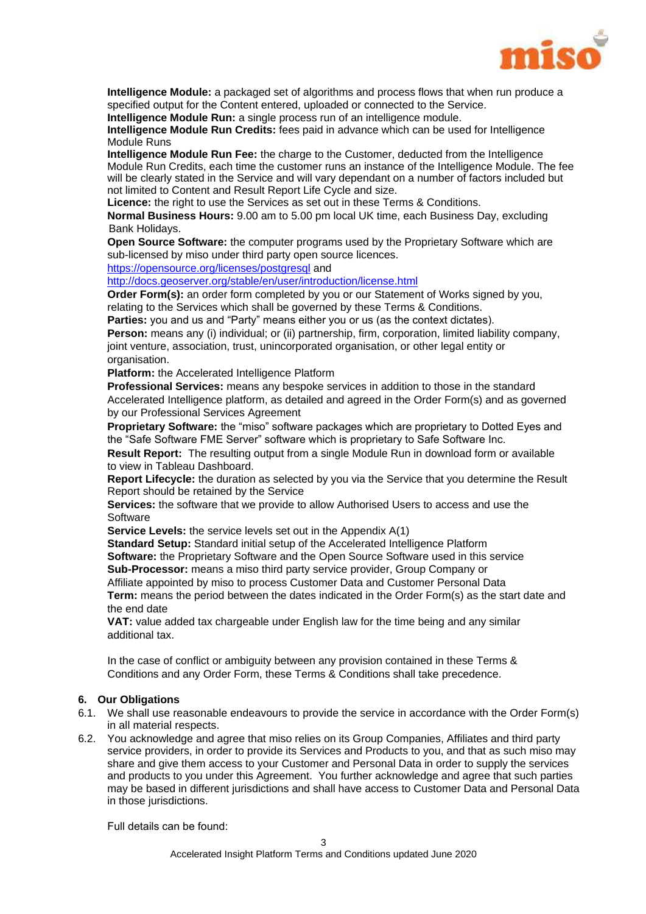

**Intelligence Module:** a packaged set of algorithms and process flows that when run produce a specified output for the Content entered, uploaded or connected to the Service.

**Intelligence Module Run:** a single process run of an intelligence module.

**Intelligence Module Run Credits:** fees paid in advance which can be used for Intelligence Module Runs

**Intelligence Module Run Fee:** the charge to the Customer, deducted from the Intelligence Module Run Credits, each time the customer runs an instance of the Intelligence Module. The fee will be clearly stated in the Service and will vary dependant on a number of factors included but not limited to Content and Result Report Life Cycle and size.

**Licence:** the right to use the Services as set out in these Terms & Conditions.

**Normal Business Hours:** 9.00 am to 5.00 pm local UK time, each Business Day, excluding Bank Holidays.

**Open Source Software:** the computer programs used by the Proprietary Software which are sub-licensed by miso under third party open source licences.

<https://opensource.org/licenses/postgresql> and

<http://docs.geoserver.org/stable/en/user/introduction/license.html>

**Order Form(s):** an order form completed by you or our Statement of Works signed by you, relating to the Services which shall be governed by these Terms & Conditions.

**Parties:** you and us and "Party" means either you or us (as the context dictates).

**Person:** means any (i) individual; or (ii) partnership, firm, corporation, limited liability company, joint venture, association, trust, unincorporated organisation, or other legal entity or organisation.

**Platform:** the Accelerated Intelligence Platform

**Professional Services:** means any bespoke services in addition to those in the standard Accelerated Intelligence platform, as detailed and agreed in the Order Form(s) and as governed by our Professional Services Agreement

**Proprietary Software:** the "miso" software packages which are proprietary to Dotted Eyes and the "Safe Software FME Server" software which is proprietary to Safe Software Inc.

**Result Report:** The resulting output from a single Module Run in download form or available to view in Tableau Dashboard.

**Report Lifecycle:** the duration as selected by you via the Service that you determine the Result Report should be retained by the Service

**Services:** the software that we provide to allow Authorised Users to access and use the **Software** 

**Service Levels:** the service levels set out in the Appendix A(1)

**Standard Setup:** Standard initial setup of the Accelerated Intelligence Platform **Software:** the Proprietary Software and the Open Source Software used in this service **Sub-Processor:** means a miso third party service provider, Group Company or

Affiliate appointed by miso to process Customer Data and Customer Personal Data **Term:** means the period between the dates indicated in the Order Form(s) as the start date and the end date

**VAT:** value added tax chargeable under English law for the time being and any similar additional tax.

In the case of conflict or ambiguity between any provision contained in these Terms & Conditions and any Order Form, these Terms & Conditions shall take precedence.

#### **6. Our Obligations**

- 6.1. We shall use reasonable endeavours to provide the service in accordance with the Order Form(s) in all material respects.
- 6.2. You acknowledge and agree that miso relies on its Group Companies, Affiliates and third party service providers, in order to provide its Services and Products to you, and that as such miso may share and give them access to your Customer and Personal Data in order to supply the services and products to you under this Agreement. You further acknowledge and agree that such parties may be based in different jurisdictions and shall have access to Customer Data and Personal Data in those jurisdictions.

Full details can be found: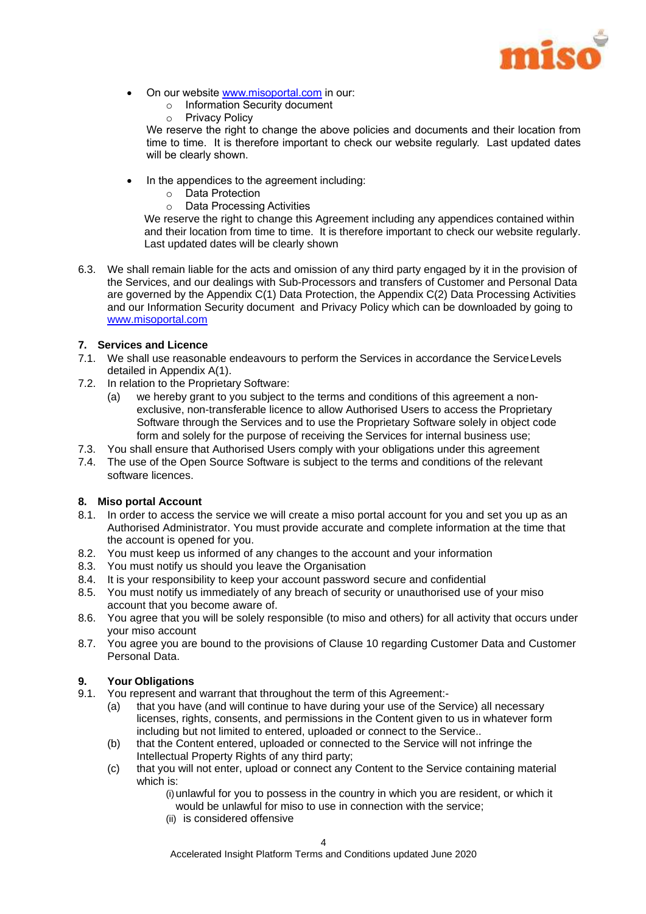

- On our website www.misoportal.com in our:
	- o Information Security document
	- o Privacy Policy

We reserve the right to change the above policies and documents and their location from time to time. It is therefore important to check our website regularly. Last updated dates will be clearly shown.

- In the appendices to the agreement including:
	- o Data Protection
	- o Data Processing Activities

We reserve the right to change this Agreement including any appendices contained within and their location from time to time. It is therefore important to check our website regularly. Last updated dates will be clearly shown

6.3. We shall remain liable for the acts and omission of any third party engaged by it in the provision of the Services, and our dealings with Sub-Processors and transfers of Customer and Personal Data are governed by the Appendix C(1) Data Protection, the Appendix C(2) Data Processing Activities and our Information Security document and Privacy Policy which can be downloaded by going to www.misoportal.com

#### **7. Services and Licence**

- 7.1. We shall use reasonable endeavours to perform the Services in accordance the ServiceLevels detailed in Appendix A(1).
- 7.2. In relation to the Proprietary Software:
	- (a) we hereby grant to you subject to the terms and conditions of this agreement a nonexclusive, non-transferable licence to allow Authorised Users to access the Proprietary Software through the Services and to use the Proprietary Software solely in object code form and solely for the purpose of receiving the Services for internal business use;
- 7.3. You shall ensure that Authorised Users comply with your obligations under this agreement
- 7.4. The use of the Open Source Software is subject to the terms and conditions of the relevant software licences.

#### **8. Miso portal Account**

- 8.1. In order to access the service we will create a miso portal account for you and set you up as an Authorised Administrator. You must provide accurate and complete information at the time that the account is opened for you.
- 8.2. You must keep us informed of any changes to the account and your information
- 8.3. You must notify us should you leave the Organisation
- 8.4. It is your responsibility to keep your account password secure and confidential
- 8.5. You must notify us immediately of any breach of security or unauthorised use of your miso account that you become aware of.
- 8.6. You agree that you will be solely responsible (to miso and others) for all activity that occurs under your miso account
- 8.7. You agree you are bound to the provisions of Clause 10 regarding Customer Data and Customer Personal Data.

#### **9. Your Obligations**

- 9.1. You represent and warrant that throughout the term of this Agreement:-
	- (a) that you have (and will continue to have during your use of the Service) all necessary licenses, rights, consents, and permissions in the Content given to us in whatever form including but not limited to entered, uploaded or connect to the Service..
	- (b) that the Content entered, uploaded or connected to the Service will not infringe the Intellectual Property Rights of any third party;
	- (c) that you will not enter, upload or connect any Content to the Service containing material which is:

(i)unlawful for you to possess in the country in which you are resident, or which it would be unlawful for miso to use in connection with the service;

(ii) is considered offensive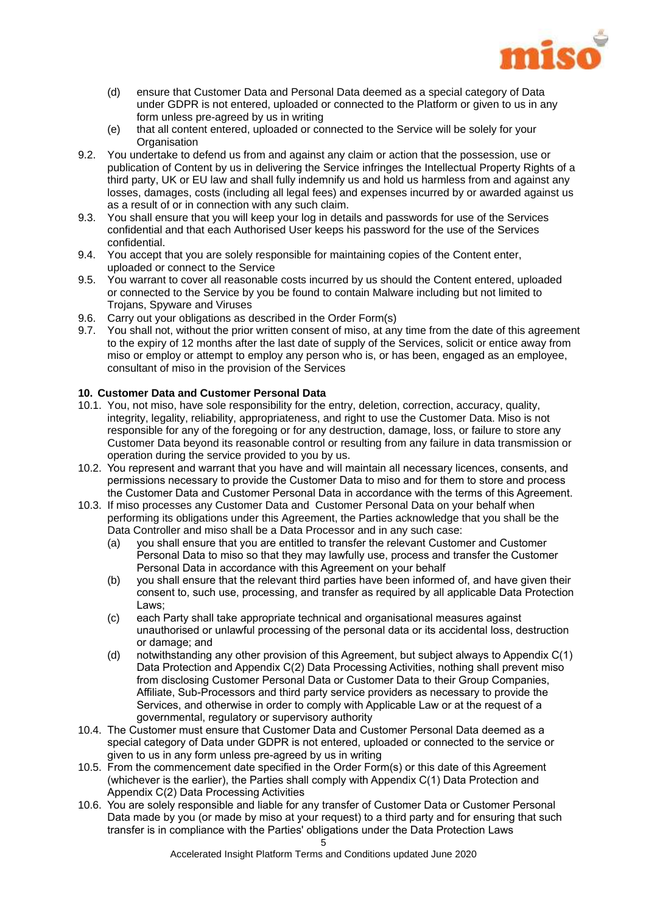

- (d) ensure that Customer Data and Personal Data deemed as a special category of Data under GDPR is not entered, uploaded or connected to the Platform or given to us in any form unless pre-agreed by us in writing
- (e) that all content entered, uploaded or connected to the Service will be solely for your **Organisation**
- 9.2. You undertake to defend us from and against any claim or action that the possession, use or publication of Content by us in delivering the Service infringes the Intellectual Property Rights of a third party, UK or EU law and shall fully indemnify us and hold us harmless from and against any losses, damages, costs (including all legal fees) and expenses incurred by or awarded against us as a result of or in connection with any such claim.
- 9.3. You shall ensure that you will keep your log in details and passwords for use of the Services confidential and that each Authorised User keeps his password for the use of the Services confidential.
- 9.4. You accept that you are solely responsible for maintaining copies of the Content enter, uploaded or connect to the Service
- 9.5. You warrant to cover all reasonable costs incurred by us should the Content entered, uploaded or connected to the Service by you be found to contain Malware including but not limited to Trojans, Spyware and Viruses
- 9.6. Carry out your obligations as described in the Order Form(s)
- 9.7. You shall not, without the prior written consent of miso, at any time from the date of this agreement to the expiry of 12 months after the last date of supply of the Services, solicit or entice away from miso or employ or attempt to employ any person who is, or has been, engaged as an employee, consultant of miso in the provision of the Services

#### **10. Customer Data and Customer Personal Data**

- 10.1. You, not miso, have sole responsibility for the entry, deletion, correction, accuracy, quality, integrity, legality, reliability, appropriateness, and right to use the Customer Data. Miso is not responsible for any of the foregoing or for any destruction, damage, loss, or failure to store any Customer Data beyond its reasonable control or resulting from any failure in data transmission or operation during the service provided to you by us.
- 10.2. You represent and warrant that you have and will maintain all necessary licences, consents, and permissions necessary to provide the Customer Data to miso and for them to store and process the Customer Data and Customer Personal Data in accordance with the terms of this Agreement.
- 10.3. If miso processes any Customer Data and Customer Personal Data on your behalf when performing its obligations under this Agreement, the Parties acknowledge that you shall be the Data Controller and miso shall be a Data Processor and in any such case:
	- (a) you shall ensure that you are entitled to transfer the relevant Customer and Customer Personal Data to miso so that they may lawfully use, process and transfer the Customer Personal Data in accordance with this Agreement on your behalf
	- (b) you shall ensure that the relevant third parties have been informed of, and have given their consent to, such use, processing, and transfer as required by all applicable Data Protection Laws;
	- (c) each Party shall take appropriate technical and organisational measures against unauthorised or unlawful processing of the personal data or its accidental loss, destruction or damage; and
	- (d) notwithstanding any other provision of this Agreement, but subject always to Appendix C(1) Data Protection and Appendix C(2) Data Processing Activities, nothing shall prevent miso from disclosing Customer Personal Data or Customer Data to their Group Companies, Affiliate, Sub-Processors and third party service providers as necessary to provide the Services, and otherwise in order to comply with Applicable Law or at the request of a governmental, regulatory or supervisory authority
- 10.4. The Customer must ensure that Customer Data and Customer Personal Data deemed as a special category of Data under GDPR is not entered, uploaded or connected to the service or given to us in any form unless pre-agreed by us in writing
- 10.5. From the commencement date specified in the Order Form(s) or this date of this Agreement (whichever is the earlier), the Parties shall comply with Appendix C(1) Data Protection and Appendix C(2) Data Processing Activities
- 10.6. You are solely responsible and liable for any transfer of Customer Data or Customer Personal Data made by you (or made by miso at your request) to a third party and for ensuring that such transfer is in compliance with the Parties' obligations under the Data Protection Laws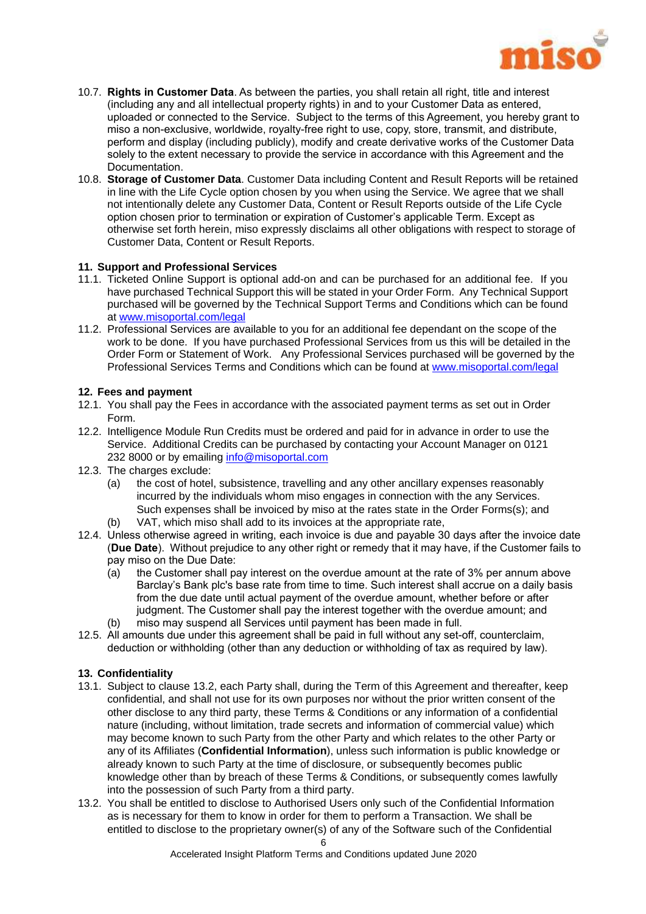

- 10.7. **Rights in Customer Data**. As between the parties, you shall retain all right, title and interest (including any and all intellectual property rights) in and to your Customer Data as entered, uploaded or connected to the Service. Subject to the terms of this Agreement, you hereby grant to miso a non-exclusive, worldwide, royalty-free right to use, copy, store, transmit, and distribute, perform and display (including publicly), modify and create derivative works of the Customer Data solely to the extent necessary to provide the service in accordance with this Agreement and the Documentation.
- 10.8. **Storage of Customer Data**. Customer Data including Content and Result Reports will be retained in line with the Life Cycle option chosen by you when using the Service. We agree that we shall not intentionally delete any Customer Data, Content or Result Reports outside of the Life Cycle option chosen prior to termination or expiration of Customer's applicable Term. Except as otherwise set forth herein, miso expressly disclaims all other obligations with respect to storage of Customer Data, Content or Result Reports.

#### **11. Support and Professional Services**

- 11.1. Ticketed Online Support is optional add-on and can be purchased for an additional fee. If you have purchased Technical Support this will be stated in your Order Form. Any Technical Support purchased will be governed by the Technical Support Terms and Conditions which can be found at [www.misoportal.com/legal](http://www.misportal.com/legal)
- 11.2. Professional Services are available to you for an additional fee dependant on the scope of the work to be done. If you have purchased Professional Services from us this will be detailed in the Order Form or Statement of Work. Any Professional Services purchased will be governed by the Professional Services Terms and Conditions which can be found at [www.misoportal.com/legal](http://www.misportal.com/legal)

#### **12. Fees and payment**

- 12.1. You shall pay the Fees in accordance with the associated payment terms as set out in Order Form.
- 12.2. Intelligence Module Run Credits must be ordered and paid for in advance in order to use the Service. Additional Credits can be purchased by contacting your Account Manager on 0121 232 8000 or by emailing [info@misoportal.com](mailto:info@misoportal.com)
- 12.3. The charges exclude:
	- (a) the cost of hotel, subsistence, travelling and any other ancillary expenses reasonably incurred by the individuals whom miso engages in connection with the any Services. Such expenses shall be invoiced by miso at the rates state in the Order Forms(s); and
	- (b) VAT, which miso shall add to its invoices at the appropriate rate,
- 12.4. Unless otherwise agreed in writing, each invoice is due and payable 30 days after the invoice date (**Due Date**). Without prejudice to any other right or remedy that it may have, if the Customer fails to pay miso on the Due Date:
	- (a) the Customer shall pay interest on the overdue amount at the rate of 3% per annum above Barclay's Bank plc's base rate from time to time. Such interest shall accrue on a daily basis from the due date until actual payment of the overdue amount, whether before or after judgment. The Customer shall pay the interest together with the overdue amount; and
	- (b) miso may suspend all Services until payment has been made in full.
- 12.5. All amounts due under this agreement shall be paid in full without any set-off, counterclaim, deduction or withholding (other than any deduction or withholding of tax as required by law).

#### **13. Confidentiality**

- 13.1. Subject to clause 13.2, each Party shall, during the Term of this Agreement and thereafter, keep confidential, and shall not use for its own purposes nor without the prior written consent of the other disclose to any third party, these Terms & Conditions or any information of a confidential nature (including, without limitation, trade secrets and information of commercial value) which may become known to such Party from the other Party and which relates to the other Party or any of its Affiliates (**Confidential Information**), unless such information is public knowledge or already known to such Party at the time of disclosure, or subsequently becomes public knowledge other than by breach of these Terms & Conditions, or subsequently comes lawfully into the possession of such Party from a third party.
- 13.2. You shall be entitled to disclose to Authorised Users only such of the Confidential Information as is necessary for them to know in order for them to perform a Transaction. We shall be entitled to disclose to the proprietary owner(s) of any of the Software such of the Confidential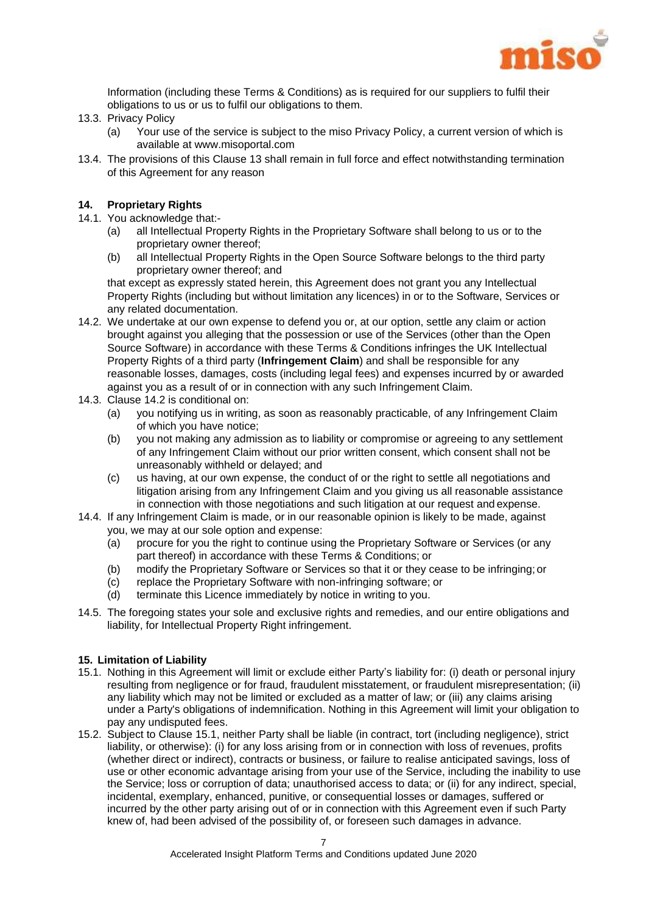

Information (including these Terms & Conditions) as is required for our suppliers to fulfil their obligations to us or us to fulfil our obligations to them.

- 13.3. Privacy Policy
	- (a) Your use of the service is subject to the miso Privacy Policy, a current version of which is available at www.misoportal.com
- 13.4. The provisions of this Clause 13 shall remain in full force and effect notwithstanding termination of this Agreement for any reason

#### **14. Proprietary Rights**

- 14.1. You acknowledge that:-
	- (a) all Intellectual Property Rights in the Proprietary Software shall belong to us or to the proprietary owner thereof;
	- (b) all Intellectual Property Rights in the Open Source Software belongs to the third party proprietary owner thereof; and

that except as expressly stated herein, this Agreement does not grant you any Intellectual Property Rights (including but without limitation any licences) in or to the Software, Services or any related documentation.

- 14.2. We undertake at our own expense to defend you or, at our option, settle any claim or action brought against you alleging that the possession or use of the Services (other than the Open Source Software) in accordance with these Terms & Conditions infringes the UK Intellectual Property Rights of a third party (**Infringement Claim**) and shall be responsible for any reasonable losses, damages, costs (including legal fees) and expenses incurred by or awarded against you as a result of or in connection with any such Infringement Claim.
- 14.3. Clause 14.2 is conditional on:
	- (a) you notifying us in writing, as soon as reasonably practicable, of any Infringement Claim of which you have notice;
	- (b) you not making any admission as to liability or compromise or agreeing to any settlement of any Infringement Claim without our prior written consent, which consent shall not be unreasonably withheld or delayed; and
	- (c) us having, at our own expense, the conduct of or the right to settle all negotiations and litigation arising from any Infringement Claim and you giving us all reasonable assistance in connection with those negotiations and such litigation at our request and expense.
- 14.4. If any Infringement Claim is made, or in our reasonable opinion is likely to be made, against you, we may at our sole option and expense:
	- (a) procure for you the right to continue using the Proprietary Software or Services (or any part thereof) in accordance with these Terms & Conditions; or
	- (b) modify the Proprietary Software or Services so that it or they cease to be infringing; or
	- (c) replace the Proprietary Software with non-infringing software; or
	- (d) terminate this Licence immediately by notice in writing to you.
- 14.5. The foregoing states your sole and exclusive rights and remedies, and our entire obligations and liability, for Intellectual Property Right infringement.

#### **15. Limitation of Liability**

- 15.1. Nothing in this Agreement will limit or exclude either Party's liability for: (i) death or personal injury resulting from negligence or for fraud, fraudulent misstatement, or fraudulent misrepresentation; (ii) any liability which may not be limited or excluded as a matter of law; or (iii) any claims arising under a Party's obligations of indemnification. Nothing in this Agreement will limit your obligation to pay any undisputed fees.
- 15.2. Subject to Clause 15.1, neither Party shall be liable (in contract, tort (including negligence), strict liability, or otherwise): (i) for any loss arising from or in connection with loss of revenues, profits (whether direct or indirect), contracts or business, or failure to realise anticipated savings, loss of use or other economic advantage arising from your use of the Service, including the inability to use the Service; loss or corruption of data; unauthorised access to data; or (ii) for any indirect, special, incidental, exemplary, enhanced, punitive, or consequential losses or damages, suffered or incurred by the other party arising out of or in connection with this Agreement even if such Party knew of, had been advised of the possibility of, or foreseen such damages in advance.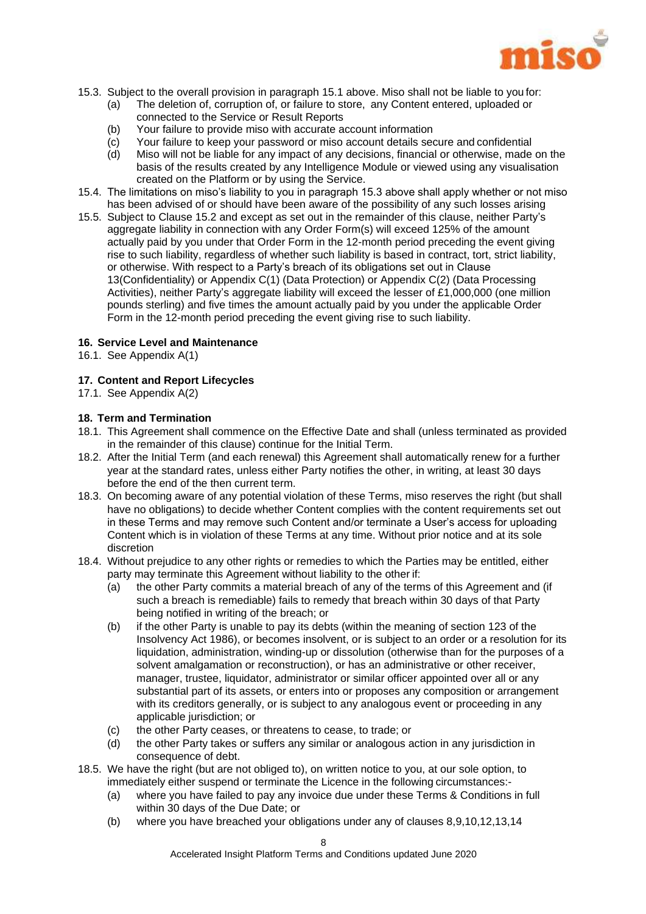

- 15.3. Subject to the overall provision in paragraph 15.1 above. Miso shall not be liable to you for:
	- (a) The deletion of, corruption of, or failure to store, any Content entered, uploaded or connected to the Service or Result Reports
	- (b) Your failure to provide miso with accurate account information
	- (c) Your failure to keep your password or miso account details secure and confidential
	- (d) Miso will not be liable for any impact of any decisions, financial or otherwise, made on the basis of the results created by any Intelligence Module or viewed using any visualisation created on the Platform or by using the Service.
- 15.4. The limitations on miso's liability to you in paragraph 15.3 above shall apply whether or not miso has been advised of or should have been aware of the possibility of any such losses arising
- 15.5. Subject to Clause 15.2 and except as set out in the remainder of this clause, neither Party's aggregate liability in connection with any Order Form(s) will exceed 125% of the amount actually paid by you under that Order Form in the 12-month period preceding the event giving rise to such liability, regardless of whether such liability is based in contract, tort, strict liability, or otherwise. With respect to a Party's breach of its obligations set out in Clause 13(Confidentiality) or Appendix C(1) (Data Protection) or Appendix C(2) (Data Processing Activities), neither Party's aggregate liability will exceed the lesser of £1,000,000 (one million pounds sterling) and five times the amount actually paid by you under the applicable Order Form in the 12-month period preceding the event giving rise to such liability.

#### **16. Service Level and Maintenance**

16.1. See Appendix A(1)

#### **17. Content and Report Lifecycles**

17.1. See Appendix A(2)

#### **18. Term and Termination**

- 18.1. This Agreement shall commence on the Effective Date and shall (unless terminated as provided in the remainder of this clause) continue for the Initial Term.
- 18.2. After the Initial Term (and each renewal) this Agreement shall automatically renew for a further year at the standard rates, unless either Party notifies the other, in writing, at least 30 days before the end of the then current term.
- 18.3. On becoming aware of any potential violation of these Terms, miso reserves the right (but shall have no obligations) to decide whether Content complies with the content requirements set out in these Terms and may remove such Content and/or terminate a User's access for uploading Content which is in violation of these Terms at any time. Without prior notice and at its sole discretion
- 18.4. Without prejudice to any other rights or remedies to which the Parties may be entitled, either party may terminate this Agreement without liability to the other if:
	- (a) the other Party commits a material breach of any of the terms of this Agreement and (if such a breach is remediable) fails to remedy that breach within 30 days of that Party being notified in writing of the breach; or
	- (b) if the other Party is unable to pay its debts (within the meaning of section 123 of the Insolvency Act 1986), or becomes insolvent, or is subject to an order or a resolution for its liquidation, administration, winding-up or dissolution (otherwise than for the purposes of a solvent amalgamation or reconstruction), or has an administrative or other receiver, manager, trustee, liquidator, administrator or similar officer appointed over all or any substantial part of its assets, or enters into or proposes any composition or arrangement with its creditors generally, or is subject to any analogous event or proceeding in any applicable jurisdiction; or
	- (c) the other Party ceases, or threatens to cease, to trade; or
	- (d) the other Party takes or suffers any similar or analogous action in any jurisdiction in consequence of debt.
- 18.5. We have the right (but are not obliged to), on written notice to you, at our sole option, to immediately either suspend or terminate the Licence in the following circumstances:-
	- (a) where you have failed to pay any invoice due under these Terms & Conditions in full within 30 days of the Due Date; or
	- (b) where you have breached your obligations under any of clauses 8,9,10,12,13,14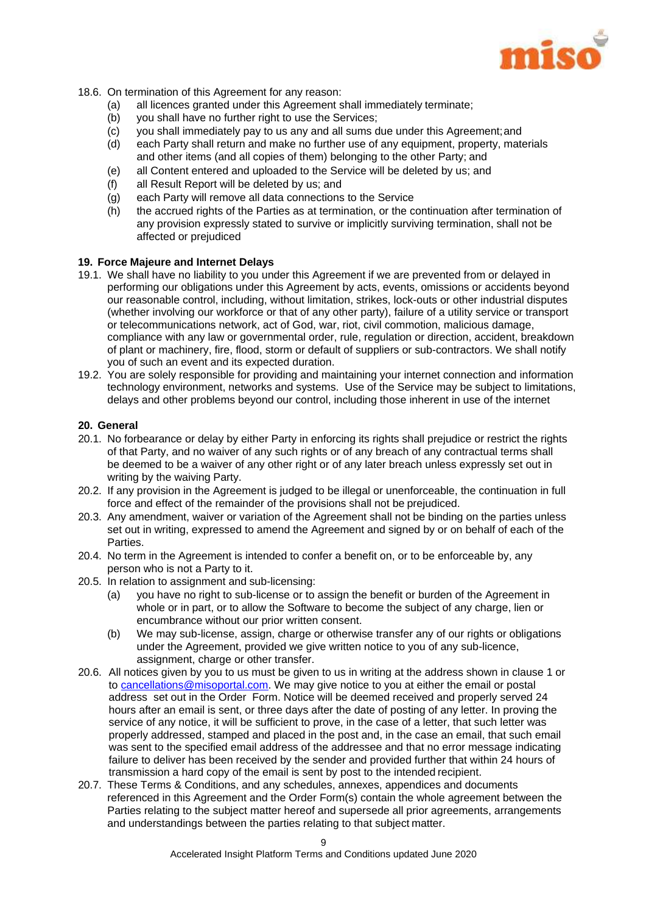

- 18.6. On termination of this Agreement for any reason:
	- (a) all licences granted under this Agreement shall immediately terminate;
	- (b) you shall have no further right to use the Services;
	- (c) you shall immediately pay to us any and all sums due under this Agreement;and
	- (d) each Party shall return and make no further use of any equipment, property, materials and other items (and all copies of them) belonging to the other Party; and
	- (e) all Content entered and uploaded to the Service will be deleted by us; and
	- (f) all Result Report will be deleted by us; and
	- (g) each Party will remove all data connections to the Service
	- (h) the accrued rights of the Parties as at termination, or the continuation after termination of any provision expressly stated to survive or implicitly surviving termination, shall not be affected or prejudiced

#### **19. Force Majeure and Internet Delays**

- 19.1. We shall have no liability to you under this Agreement if we are prevented from or delayed in performing our obligations under this Agreement by acts, events, omissions or accidents beyond our reasonable control, including, without limitation, strikes, lock-outs or other industrial disputes (whether involving our workforce or that of any other party), failure of a utility service or transport or telecommunications network, act of God, war, riot, civil commotion, malicious damage, compliance with any law or governmental order, rule, regulation or direction, accident, breakdown of plant or machinery, fire, flood, storm or default of suppliers or sub-contractors. We shall notify you of such an event and its expected duration.
- 19.2. You are solely responsible for providing and maintaining your internet connection and information technology environment, networks and systems. Use of the Service may be subject to limitations, delays and other problems beyond our control, including those inherent in use of the internet

#### **20. General**

- 20.1. No forbearance or delay by either Party in enforcing its rights shall prejudice or restrict the rights of that Party, and no waiver of any such rights or of any breach of any contractual terms shall be deemed to be a waiver of any other right or of any later breach unless expressly set out in writing by the waiving Party.
- 20.2. If any provision in the Agreement is judged to be illegal or unenforceable, the continuation in full force and effect of the remainder of the provisions shall not be prejudiced.
- 20.3. Any amendment, waiver or variation of the Agreement shall not be binding on the parties unless set out in writing, expressed to amend the Agreement and signed by or on behalf of each of the Parties.
- 20.4. No term in the Agreement is intended to confer a benefit on, or to be enforceable by, any person who is not a Party to it.
- 20.5. In relation to assignment and sub-licensing:
	- (a) you have no right to sub-license or to assign the benefit or burden of the Agreement in whole or in part, or to allow the Software to become the subject of any charge, lien or encumbrance without our prior written consent.
	- (b) We may sub-license, assign, charge or otherwise transfer any of our rights or obligations under the Agreement, provided we give written notice to you of any sub-licence, assignment, charge or other transfer.
- 20.6. All notices given by you to us must be given to us in writing at the address shown in clause 1 or to [cancellations@misoportal.com.](mailto:cancellations@misoportal.com) We may give notice to you at either the email or postal address set out in the Order Form. Notice will be deemed received and properly served 24 hours after an email is sent, or three days after the date of posting of any letter. In proving the service of any notice, it will be sufficient to prove, in the case of a letter, that such letter was properly addressed, stamped and placed in the post and, in the case an email, that such email was sent to the specified email address of the addressee and that no error message indicating failure to deliver has been received by the sender and provided further that within 24 hours of transmission a hard copy of the email is sent by post to the intended recipient.
- 20.7. These Terms & Conditions, and any schedules, annexes, appendices and documents referenced in this Agreement and the Order Form(s) contain the whole agreement between the Parties relating to the subject matter hereof and supersede all prior agreements, arrangements and understandings between the parties relating to that subject matter.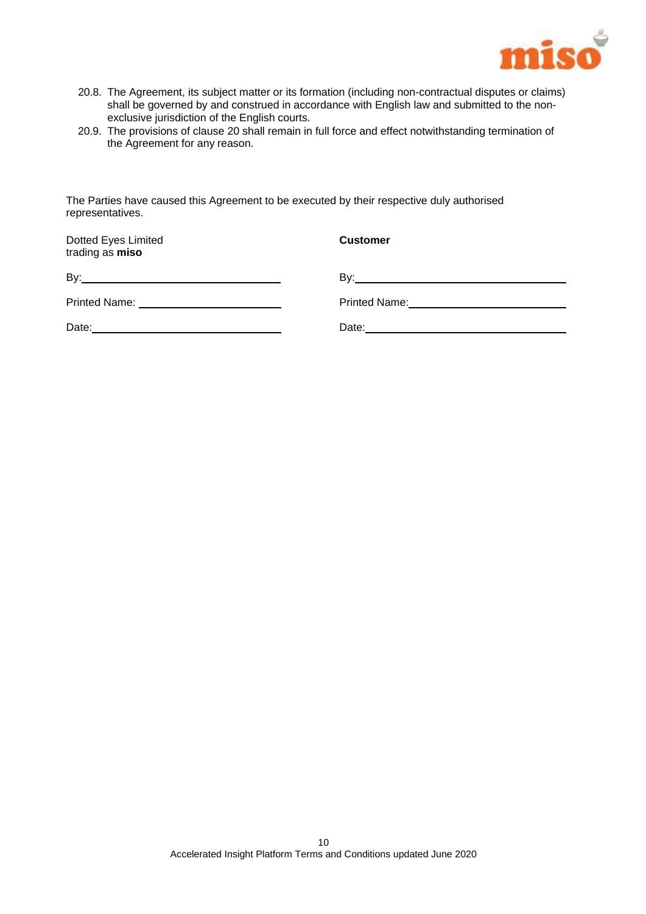

- 20.8. The Agreement, its subject matter or its formation (including non-contractual disputes or claims) shall be governed by and construed in accordance with English law and submitted to the nonexclusive jurisdiction of the English courts.
- 20.9. The provisions of clause 20 shall remain in full force and effect notwithstanding termination of the Agreement for any reason.

The Parties have caused this Agreement to be executed by their respective duly authorised representatives.

| Dotted Eyes Limited<br>trading as miso | <b>Customer</b> |
|----------------------------------------|-----------------|
|                                        |                 |
|                                        |                 |
|                                        |                 |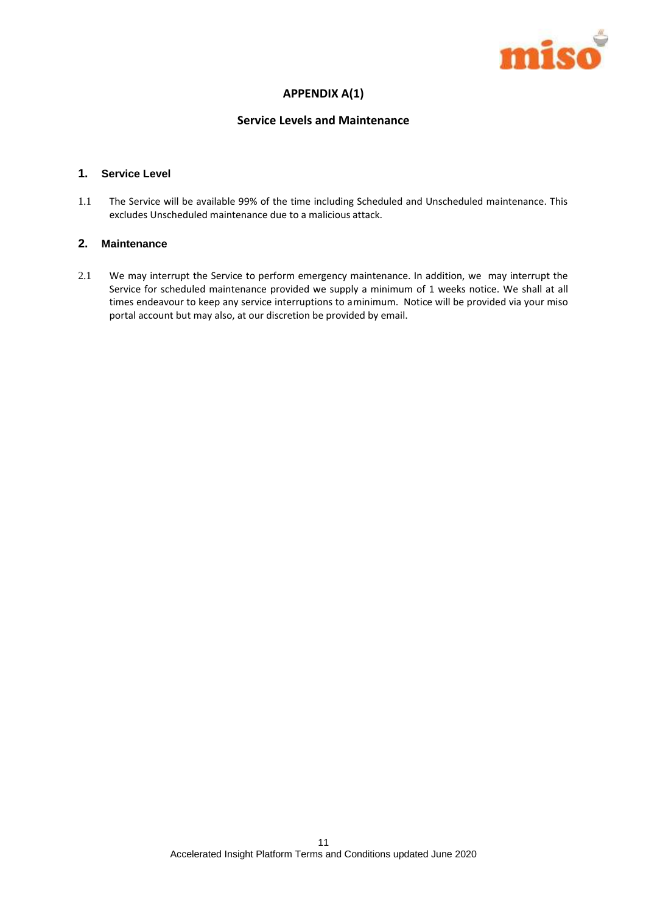

## **APPENDIX A(1)**

#### **Service Levels and Maintenance**

#### **1. Service Level**

1.1 The Service will be available 99% of the time including Scheduled and Unscheduled maintenance. This excludes Unscheduled maintenance due to a malicious attack.

#### **2. Maintenance**

2.1 We may interrupt the Service to perform emergency maintenance. In addition, we may interrupt the Service for scheduled maintenance provided we supply a minimum of 1 weeks notice. We shall at all times endeavour to keep any service interruptions to aminimum. Notice will be provided via your miso portal account but may also, at our discretion be provided by email.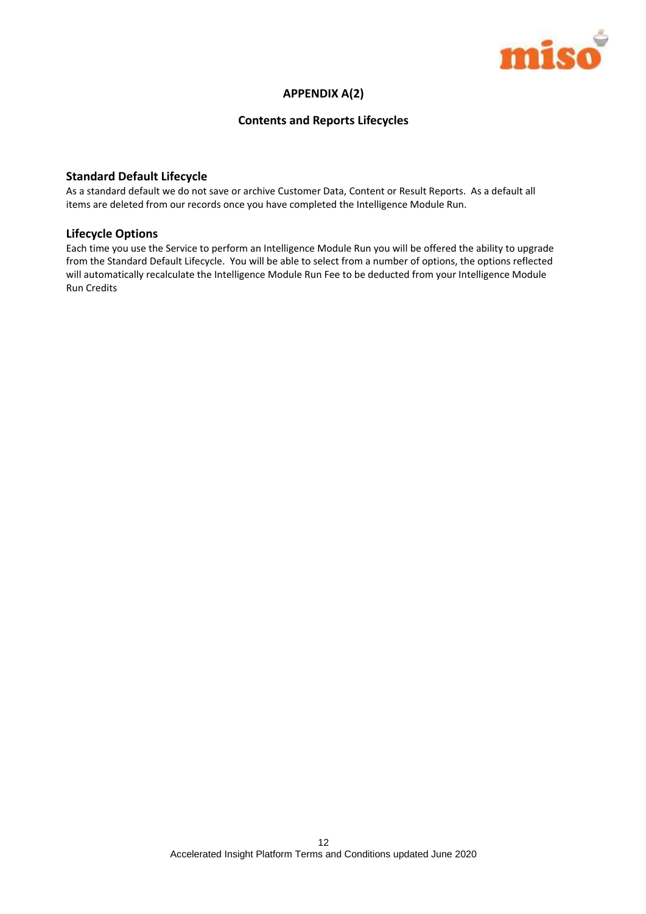

#### **APPENDIX A(2)**

#### **Contents and Reports Lifecycles**

#### **Standard Default Lifecycle**

As a standard default we do not save or archive Customer Data, Content or Result Reports. As a default all items are deleted from our records once you have completed the Intelligence Module Run.

#### **Lifecycle Options**

Each time you use the Service to perform an Intelligence Module Run you will be offered the ability to upgrade from the Standard Default Lifecycle. You will be able to select from a number of options, the options reflected will automatically recalculate the Intelligence Module Run Fee to be deducted from your Intelligence Module Run Credits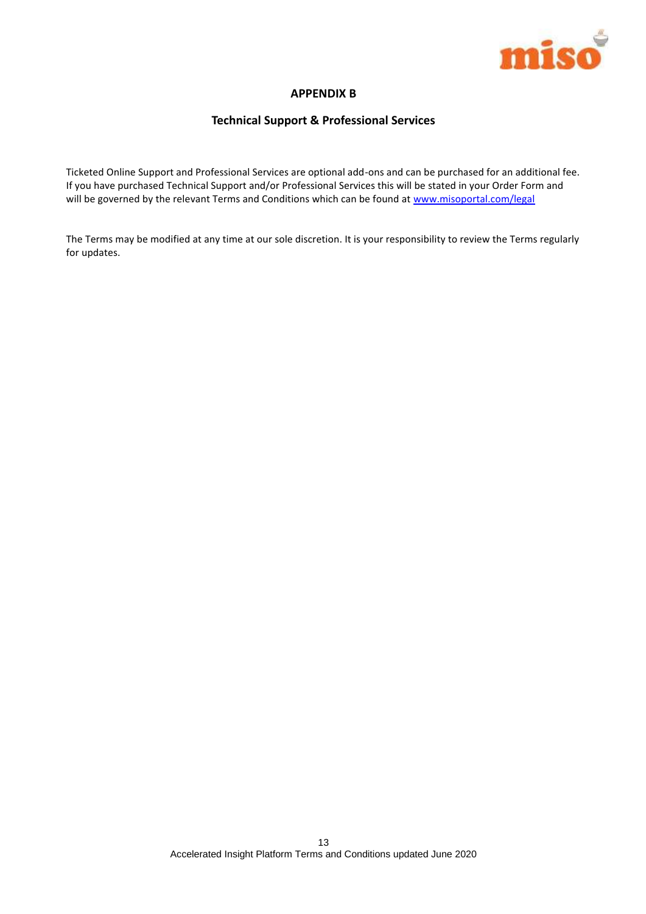

## **APPENDIX B**

#### **Technical Support & Professional Services**

Ticketed Online Support and Professional Services are optional add-ons and can be purchased for an additional fee. If you have purchased Technical Support and/or Professional Services this will be stated in your Order Form and will be governed by the relevant Terms and Conditions which can be found at [www.misoportal.com/legal](http://www.misoportal.com/legal)

The Terms may be modified at any time at our sole discretion. It is your responsibility to review the Terms regularly for updates.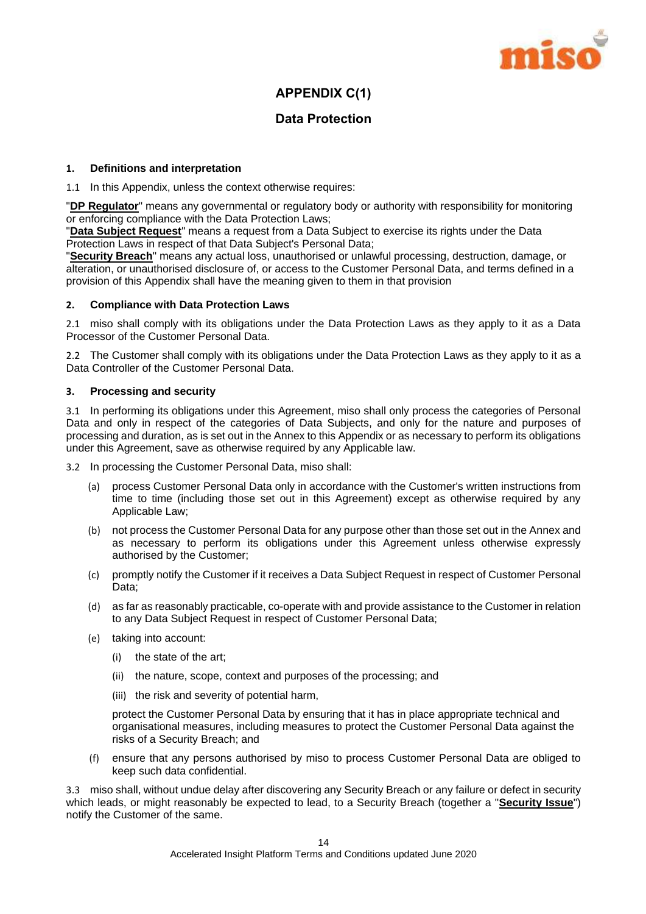

# **APPENDIX C(1)**

# **Data Protection**

#### **1. Definitions and interpretation**

1.1 In this Appendix, unless the context otherwise requires:

"**DP Regulator**" means any governmental or regulatory body or authority with responsibility for monitoring or enforcing compliance with the Data Protection Laws;

"**Data Subject Request**" means a request from a Data Subject to exercise its rights under the Data Protection Laws in respect of that Data Subject's Personal Data;

"**Security Breach**" means any actual loss, unauthorised or unlawful processing, destruction, damage, or alteration, or unauthorised disclosure of, or access to the Customer Personal Data, and terms defined in a provision of this Appendix shall have the meaning given to them in that provision

#### **2. Compliance with Data Protection Laws**

2.1 miso shall comply with its obligations under the Data Protection Laws as they apply to it as a Data Processor of the Customer Personal Data.

2.2 The Customer shall comply with its obligations under the Data Protection Laws as they apply to it as a Data Controller of the Customer Personal Data.

#### **3. Processing and security**

3.1 In performing its obligations under this Agreement, miso shall only process the categories of Personal Data and only in respect of the categories of Data Subjects, and only for the nature and purposes of processing and duration, as is set out in the Annex to this Appendix or as necessary to perform its obligations under this Agreement, save as otherwise required by any Applicable law.

3.2 In processing the Customer Personal Data, miso shall:

- (a) process Customer Personal Data only in accordance with the Customer's written instructions from time to time (including those set out in this Agreement) except as otherwise required by any Applicable Law;
- (b) not process the Customer Personal Data for any purpose other than those set out in the Annex and as necessary to perform its obligations under this Agreement unless otherwise expressly authorised by the Customer;
- (c) promptly notify the Customer if it receives a Data Subject Request in respect of Customer Personal Data;
- (d) as far as reasonably practicable, co-operate with and provide assistance to the Customer in relation to any Data Subject Request in respect of Customer Personal Data;
- (e) taking into account:
	- (i) the state of the art;
	- (ii) the nature, scope, context and purposes of the processing; and
	- (iii) the risk and severity of potential harm,

protect the Customer Personal Data by ensuring that it has in place appropriate technical and organisational measures, including measures to protect the Customer Personal Data against the risks of a Security Breach; and

(f) ensure that any persons authorised by miso to process Customer Personal Data are obliged to keep such data confidential.

3.3 miso shall, without undue delay after discovering any Security Breach or any failure or defect in security which leads, or might reasonably be expected to lead, to a Security Breach (together a "**Security Issue**") notify the Customer of the same.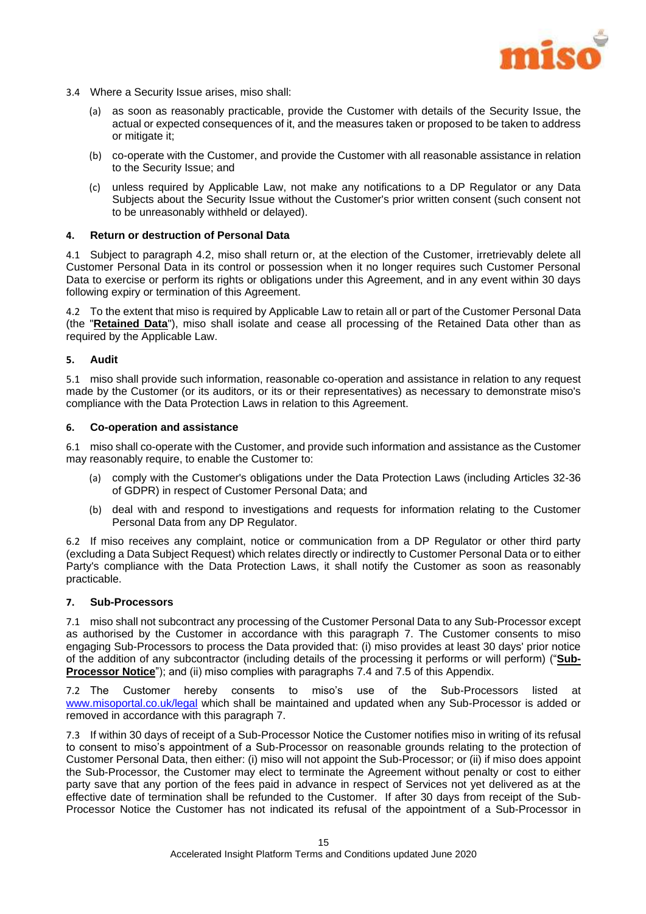

- 3.4 Where a Security Issue arises, miso shall:
	- (a) as soon as reasonably practicable, provide the Customer with details of the Security Issue, the actual or expected consequences of it, and the measures taken or proposed to be taken to address or mitigate it;
	- (b) co-operate with the Customer, and provide the Customer with all reasonable assistance in relation to the Security Issue; and
	- (c) unless required by Applicable Law, not make any notifications to a DP Regulator or any Data Subjects about the Security Issue without the Customer's prior written consent (such consent not to be unreasonably withheld or delayed).

#### **4. Return or destruction of Personal Data**

4.1 Subject to paragraph [4.2,](#page-15-0) miso shall return or, at the election of the Customer, irretrievably delete all Customer Personal Data in its control or possession when it no longer requires such Customer Personal Data to exercise or perform its rights or obligations under this Agreement, and in any event within 30 days following expiry or termination of this Agreement.

<span id="page-15-0"></span>4.2 To the extent that miso is required by Applicable Law to retain all or part of the Customer Personal Data (the "**Retained Data**"), miso shall isolate and cease all processing of the Retained Data other than as required by the Applicable Law.

#### **5. Audit**

5.1 miso shall provide such information, reasonable co-operation and assistance in relation to any request made by the Customer (or its auditors, or its or their representatives) as necessary to demonstrate miso's compliance with the Data Protection Laws in relation to this Agreement.

#### **6. Co-operation and assistance**

6.1 miso shall co-operate with the Customer, and provide such information and assistance as the Customer may reasonably require, to enable the Customer to:

- (a) comply with the Customer's obligations under the Data Protection Laws (including Articles 32-36 of GDPR) in respect of Customer Personal Data; and
- (b) deal with and respond to investigations and requests for information relating to the Customer Personal Data from any DP Regulator.

6.2 If miso receives any complaint, notice or communication from a DP Regulator or other third party (excluding a Data Subject Request) which relates directly or indirectly to Customer Personal Data or to either Party's compliance with the Data Protection Laws, it shall notify the Customer as soon as reasonably practicable.

#### <span id="page-15-1"></span>**7. Sub-Processors**

7.1 miso shall not subcontract any processing of the Customer Personal Data to any Sub-Processor except as authorised by the Customer in accordance with this paragraph [7.](#page-15-1) The Customer consents to miso engaging Sub-Processors to process the Data provided that: (i) miso provides at least 30 days' prior notice of the addition of any subcontractor (including details of the processing it performs or will perform) ("**Sub-Processor Notice**"); and (ii) miso complies with paragraphs [7.4](#page-16-0) and [7.5](#page-16-1) of this Appendix.

7.2 The Customer hereby consents to miso's use of the Sub-Processors listed at [www.misoportal.co.uk/legal](http://www.misoportal.co.uk/legal) which shall be maintained and updated when any Sub-Processor is added or removed in accordance with this paragraph [7.](#page-15-1)

7.3 If within 30 days of receipt of a Sub-Processor Notice the Customer notifies miso in writing of its refusal to consent to miso's appointment of a Sub-Processor on reasonable grounds relating to the protection of Customer Personal Data, then either: (i) miso will not appoint the Sub-Processor; or (ii) if miso does appoint the Sub-Processor, the Customer may elect to terminate the Agreement without penalty or cost to either party save that any portion of the fees paid in advance in respect of Services not yet delivered as at the effective date of termination shall be refunded to the Customer. If after 30 days from receipt of the Sub-Processor Notice the Customer has not indicated its refusal of the appointment of a Sub-Processor in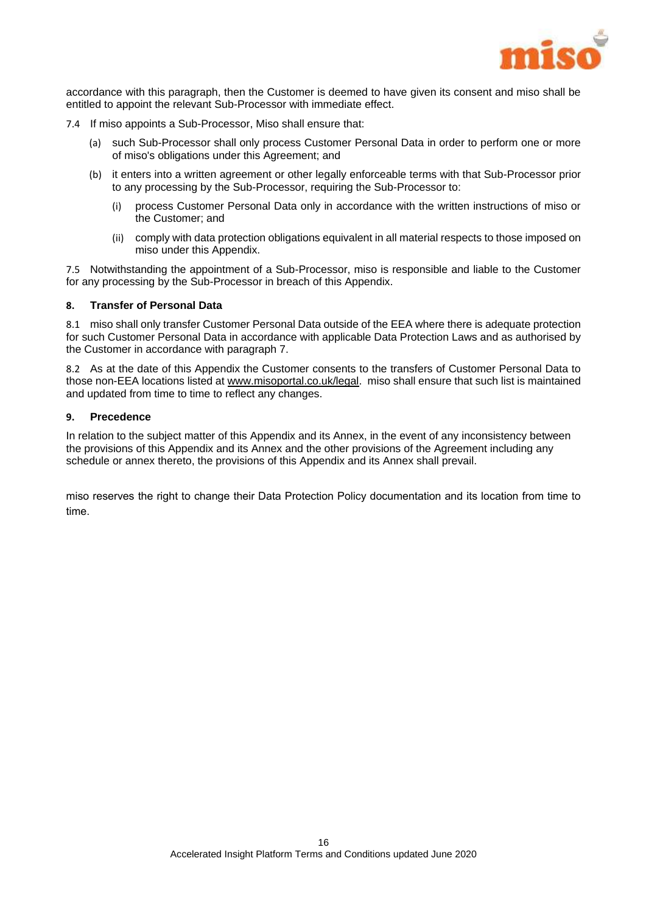

accordance with this paragraph, then the Customer is deemed to have given its consent and miso shall be entitled to appoint the relevant Sub-Processor with immediate effect.

- <span id="page-16-0"></span>7.4 If miso appoints a Sub-Processor, Miso shall ensure that:
	- (a) such Sub-Processor shall only process Customer Personal Data in order to perform one or more of miso's obligations under this Agreement; and
	- (b) it enters into a written agreement or other legally enforceable terms with that Sub-Processor prior to any processing by the Sub-Processor, requiring the Sub-Processor to:
		- (i) process Customer Personal Data only in accordance with the written instructions of miso or the Customer; and
		- (ii) comply with data protection obligations equivalent in all material respects to those imposed on miso under this Appendix.

<span id="page-16-1"></span>7.5 Notwithstanding the appointment of a Sub-Processor, miso is responsible and liable to the Customer for any processing by the Sub-Processor in breach of this Appendix.

#### **8. Transfer of Personal Data**

8.1 miso shall only transfer Customer Personal Data outside of the EEA where there is adequate protection for such Customer Personal Data in accordance with applicable Data Protection Laws and as authorised by the Customer in accordance with paragraph 7.

8.2 As at the date of this Appendix the Customer consents to the transfers of Customer Personal Data to those non-EEA locations listed a[t www.misoportal.co.uk/legal.](http://www.misoportal.co.uk/legal) miso shall ensure that such list is maintained and updated from time to time to reflect any changes.

#### **9. Precedence**

In relation to the subject matter of this Appendix and its Annex, in the event of any inconsistency between the provisions of this Appendix and its Annex and the other provisions of the Agreement including any schedule or annex thereto, the provisions of this Appendix and its Annex shall prevail.

miso reserves the right to change their Data Protection Policy documentation and its location from time to time.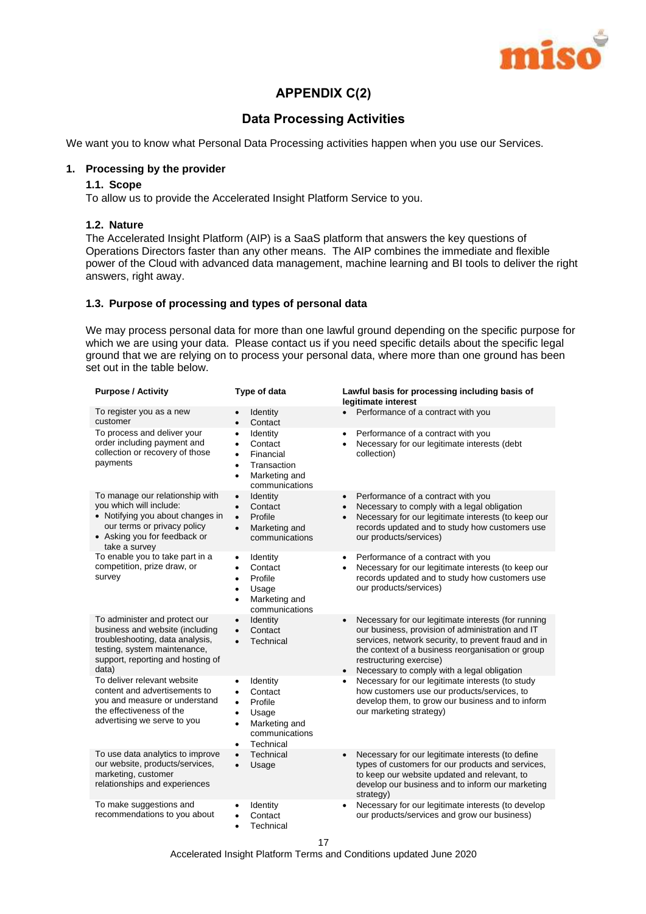

# **APPENDIX C(2)**

# **Data Processing Activities**

We want you to know what Personal Data Processing activities happen when you use our Services.

#### **1. Processing by the provider**

#### **1.1. Scope**

To allow us to provide the Accelerated Insight Platform Service to you.

#### **1.2. Nature**

The Accelerated Insight Platform (AIP) is a SaaS platform that answers the key questions of Operations Directors faster than any other means. The AIP combines the immediate and flexible power of the Cloud with advanced data management, machine learning and BI tools to deliver the right answers, right away.

#### **1.3. Purpose of processing and types of personal data**

We may process personal data for more than one lawful ground depending on the specific purpose for which we are using your data. Please contact us if you need specific details about the specific legal ground that we are relying on to process your personal data, where more than one ground has been set out in the table below.

| <b>Purpose / Activity</b>                                                                                                                                                         | Type of data                                                                                                                                                          | Lawful basis for processing including basis of<br>legitimate interest                                                                                                                                                                                                                                                   |
|-----------------------------------------------------------------------------------------------------------------------------------------------------------------------------------|-----------------------------------------------------------------------------------------------------------------------------------------------------------------------|-------------------------------------------------------------------------------------------------------------------------------------------------------------------------------------------------------------------------------------------------------------------------------------------------------------------------|
| To register you as a new<br>customer                                                                                                                                              | Identity<br>Contact<br>$\bullet$                                                                                                                                      | Performance of a contract with you<br>$\bullet$                                                                                                                                                                                                                                                                         |
| To process and deliver your<br>order including payment and<br>collection or recovery of those<br>payments                                                                         | Identity<br>$\bullet$<br>Contact<br>$\bullet$<br>Financial<br>$\bullet$<br>Transaction<br>$\bullet$<br>Marketing and<br>$\bullet$<br>communications                   | Performance of a contract with you<br>$\bullet$<br>Necessary for our legitimate interests (debt<br>$\bullet$<br>collection)                                                                                                                                                                                             |
| To manage our relationship with<br>you which will include:<br>• Notifying you about changes in<br>our terms or privacy policy<br>• Asking you for feedback or<br>take a survey    | Identity<br>$\bullet$<br>Contact<br>$\bullet$<br>Profile<br>$\bullet$<br>Marketing and<br>$\bullet$<br>communications                                                 | Performance of a contract with you<br>$\bullet$<br>Necessary to comply with a legal obligation<br>$\bullet$<br>Necessary for our legitimate interests (to keep our<br>$\bullet$<br>records updated and to study how customers use<br>our products/services)                                                             |
| To enable you to take part in a<br>competition, prize draw, or<br>survey                                                                                                          | Identity<br>$\bullet$<br>Contact<br>٠<br>Profile<br>$\bullet$<br>Usage<br>$\bullet$<br>Marketing and<br>$\bullet$<br>communications                                   | Performance of a contract with you<br>٠<br>Necessary for our legitimate interests (to keep our<br>٠<br>records updated and to study how customers use<br>our products/services)                                                                                                                                         |
| To administer and protect our<br>business and website (including<br>troubleshooting, data analysis,<br>testing, system maintenance,<br>support, reporting and hosting of<br>data) | Identity<br>$\bullet$<br>Contact<br>$\bullet$<br>Technical<br>$\bullet$                                                                                               | Necessary for our legitimate interests (for running<br>$\bullet$<br>our business, provision of administration and IT<br>services, network security, to prevent fraud and in<br>the context of a business reorganisation or group<br>restructuring exercise)<br>Necessary to comply with a legal obligation<br>$\bullet$ |
| To deliver relevant website<br>content and advertisements to<br>you and measure or understand<br>the effectiveness of the<br>advertising we serve to you                          | Identity<br>$\bullet$<br>Contact<br>$\bullet$<br>Profile<br>$\bullet$<br>Usage<br>$\bullet$<br>Marketing and<br>$\bullet$<br>communications<br>Technical<br>$\bullet$ | Necessary for our legitimate interests (to study<br>$\bullet$<br>how customers use our products/services, to<br>develop them, to grow our business and to inform<br>our marketing strategy)                                                                                                                             |
| To use data analytics to improve<br>our website, products/services,<br>marketing, customer<br>relationships and experiences                                                       | Technical<br>$\bullet$<br>Usage                                                                                                                                       | Necessary for our legitimate interests (to define<br>$\bullet$<br>types of customers for our products and services,<br>to keep our website updated and relevant, to<br>develop our business and to inform our marketing<br>strategy)                                                                                    |
| To make suggestions and<br>recommendations to you about                                                                                                                           | Identity<br>$\bullet$<br>Contact<br>$\bullet$<br>Technical<br>$\bullet$                                                                                               | Necessary for our legitimate interests (to develop<br>$\bullet$<br>our products/services and grow our business)                                                                                                                                                                                                         |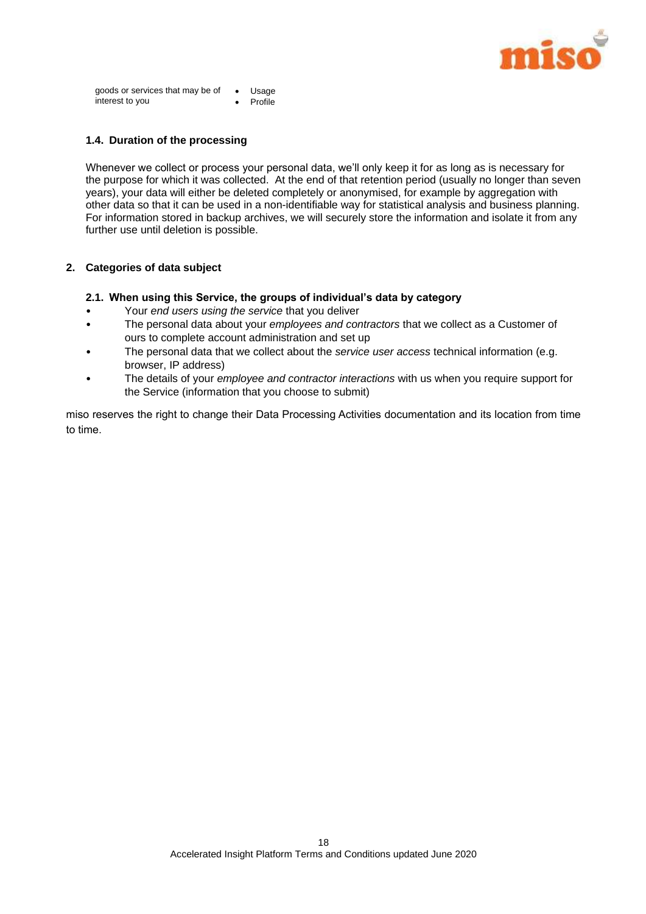

goods or services that may be of • Usage interest to you Profile

#### **1.4. Duration of the processing**

Whenever we collect or process your personal data, we'll only keep it for as long as is necessary for the purpose for which it was collected. At the end of that retention period (usually no longer than seven years), your data will either be deleted completely or anonymised, for example by aggregation with other data so that it can be used in a non-identifiable way for statistical analysis and business planning. For information stored in backup archives, we will securely store the information and isolate it from any further use until deletion is possible.

#### **2. Categories of data subject**

#### **2.1. When using this Service, the groups of individual's data by category**

- Your *end users using the service* that you deliver
- The personal data about your *employees and contractors* that we collect as a Customer of ours to complete account administration and set up
- The personal data that we collect about the *service user access* technical information (e.g. browser, IP address)
- The details of your *employee and contractor interactions* with us when you require support for the Service (information that you choose to submit)

miso reserves the right to change their Data Processing Activities documentation and its location from time to time.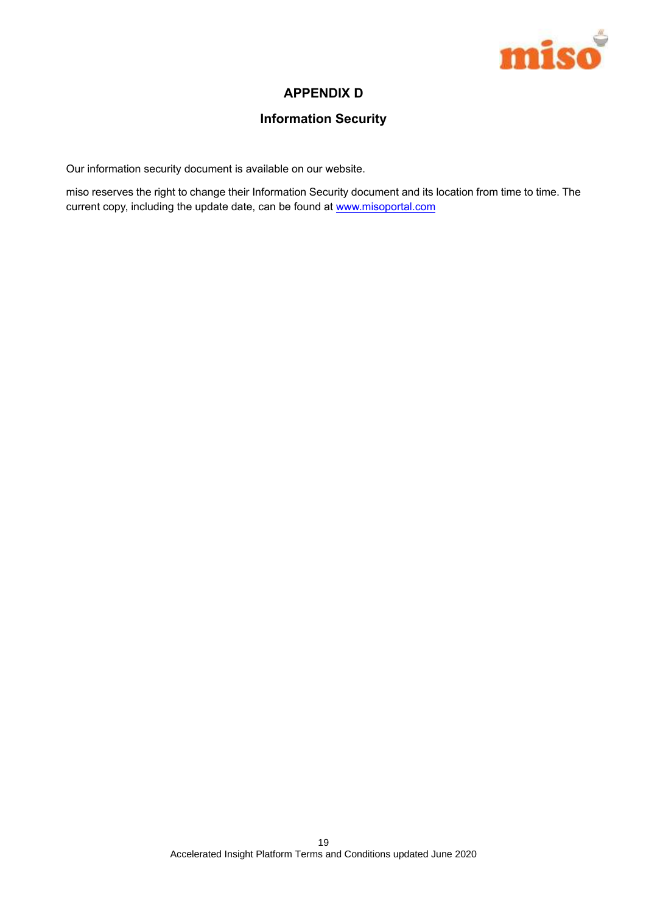

# **APPENDIX D**

# **Information Security**

Our information security document is available on our website.

miso reserves the right to change their Information Security document and its location from time to time. The current copy, including the update date, can be found at www.misoportal.com